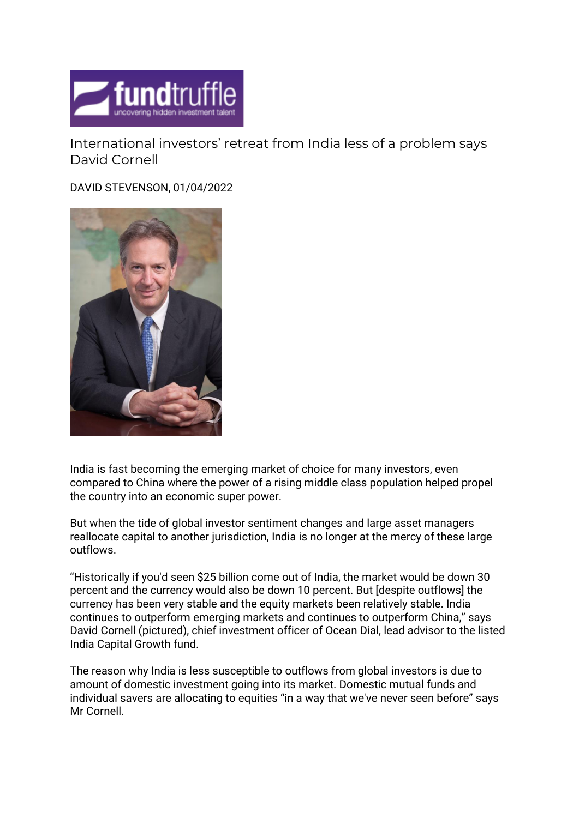

International investors' retreat from India less of a problem says David Cornell

DAVID STEVENSON, 01/04/2022



India is fast becoming the emerging market of choice for many investors, even compared to China where the power of a rising middle class population helped propel the country into an economic super power.

But when the tide of global investor sentiment changes and large asset managers reallocate capital to another jurisdiction, India is no longer at the mercy of these large outflows.

"Historically if you'd seen \$25 billion come out of India, the market would be down 30 percent and the currency would also be down 10 percent. But [despite outflows] the currency has been very stable and the equity markets been relatively stable. India continues to outperform emerging markets and continues to outperform China," says David Cornell (pictured), chief investment officer of Ocean Dial, lead advisor to the listed India Capital Growth fund.

The reason why India is less susceptible to outflows from global investors is due to amount of domestic investment going into its market. Domestic mutual funds and individual savers are allocating to equities "in a way that we've never seen before" says Mr Cornell.